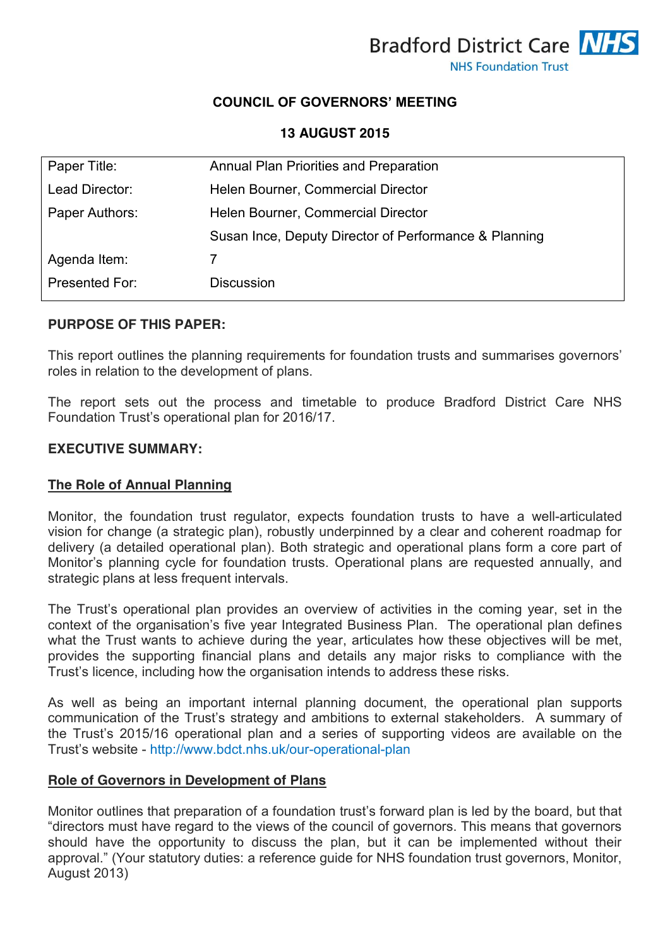

# **COUNCIL OF GOVERNORS' MEETING**

**13 AUGUST 2015**

| Paper Title:   | Annual Plan Priorities and Preparation                |
|----------------|-------------------------------------------------------|
| Lead Director: | Helen Bourner, Commercial Director                    |
| Paper Authors: | Helen Bourner, Commercial Director                    |
|                | Susan Ince, Deputy Director of Performance & Planning |
| Agenda Item:   |                                                       |
| Presented For: | <b>Discussion</b>                                     |

## **PURPOSE OF THIS PAPER:**

This report outlines the planning requirements for foundation trusts and summarises governors' roles in relation to the development of plans.

The report sets out the process and timetable to produce Bradford District Care NHS Foundation Trust's operational plan for 2016/17.

#### **EXECUTIVE SUMMARY:**

## **The Role of Annual Planning**

Monitor, the foundation trust regulator, expects foundation trusts to have a well-articulated vision for change (a strategic plan), robustly underpinned by a clear and coherent roadmap for delivery (a detailed operational plan). Both strategic and operational plans form a core part of Monitor's planning cycle for foundation trusts. Operational plans are requested annually, and strategic plans at less frequent intervals.

The Trust's operational plan provides an overview of activities in the coming year, set in the context of the organisation's five year Integrated Business Plan. The operational plan defines what the Trust wants to achieve during the year, articulates how these objectives will be met, provides the supporting financial plans and details any major risks to compliance with the Trust's licence, including how the organisation intends to address these risks.

As well as being an important internal planning document, the operational plan supports communication of the Trust's strategy and ambitions to external stakeholders. A summary of the Trust's 2015/16 operational plan and a series of supporting videos are available on the Trust's website - <http://www.bdct.nhs.uk/our-operational-plan>

#### **Role of Governors in Development of Plans**

Monitor outlines that preparation of a foundation trust's forward plan is led by the board, but that "directors must have regard to the views of the council of governors. This means that governors should have the opportunity to discuss the plan, but it can be implemented without their approval." (Your statutory duties: a reference guide for NHS foundation trust governors, Monitor, August 2013)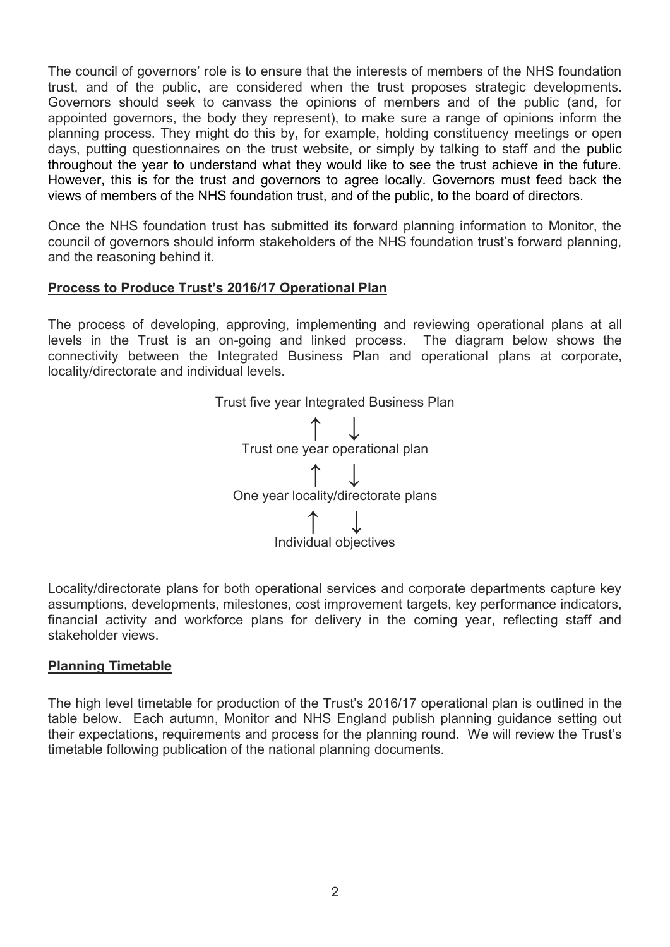The council of governors' role is to ensure that the interests of members of the NHS foundation trust, and of the public, are considered when the trust proposes strategic developments. Governors should seek to canvass the opinions of members and of the public (and, for appointed governors, the body they represent), to make sure a range of opinions inform the planning process. They might do this by, for example, holding constituency meetings or open days, putting questionnaires on the trust website, or simply by talking to staff and the public throughout the year to understand what they would like to see the trust achieve in the future. However, this is for the trust and governors to agree locally. Governors must feed back the views of members of the NHS foundation trust, and of the public, to the board of directors.

Once the NHS foundation trust has submitted its forward planning information to Monitor, the council of governors should inform stakeholders of the NHS foundation trust's forward planning, and the reasoning behind it.

# **Process to Produce Trust's 2016/17 Operational Plan**

The process of developing, approving, implementing and reviewing operational plans at all levels in the Trust is an on-going and linked process. The diagram below shows the connectivity between the Integrated Business Plan and operational plans at corporate, locality/directorate and individual levels.



Locality/directorate plans for both operational services and corporate departments capture key assumptions, developments, milestones, cost improvement targets, key performance indicators, financial activity and workforce plans for delivery in the coming year, reflecting staff and stakeholder views.

## **Planning Timetable**

The high level timetable for production of the Trust's 2016/17 operational plan is outlined in the table below. Each autumn, Monitor and NHS England publish planning guidance setting out their expectations, requirements and process for the planning round. We will review the Trust's timetable following publication of the national planning documents.